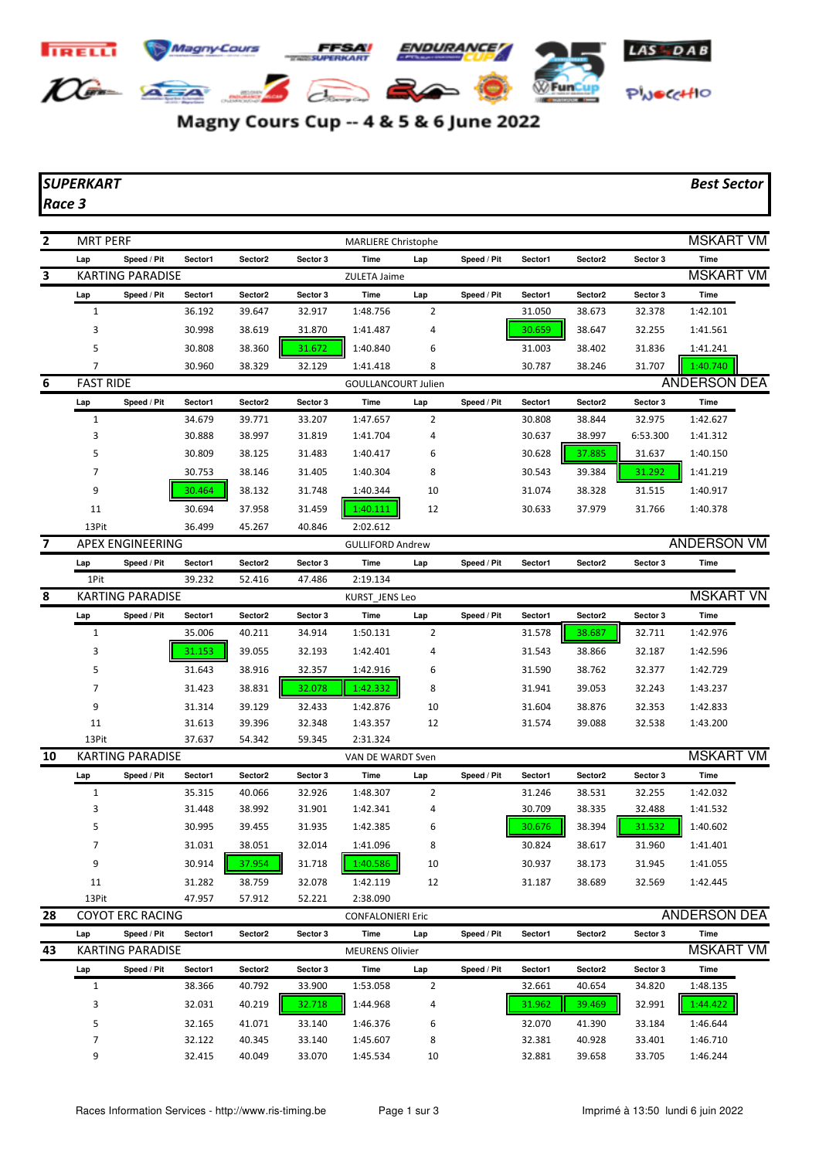

## Magny Cours Cup -- 4 & 5 & 6 June 2022

## *SUPERKART Best Sector*

*Race 3*

| 2  | <b>MRT PERF</b><br><b>MARLIERE Christophe</b> |                         |         |         |          |                            |     |             |         |         | <b>MSKART VM</b> |                     |
|----|-----------------------------------------------|-------------------------|---------|---------|----------|----------------------------|-----|-------------|---------|---------|------------------|---------------------|
|    | Lap                                           | Speed / Pit             | Sector1 | Sector2 | Sector 3 | Time                       | Lap | Speed / Pit | Sector1 | Sector2 | Sector 3         | Time                |
| 3  |                                               | <b>KARTING PARADISE</b> |         |         |          | ZULETA Jaime               |     |             |         |         |                  | <b>MSKART VM</b>    |
|    | Lap                                           | Speed / Pit             | Sector1 | Sector2 | Sector 3 | Time                       | Lap | Speed / Pit | Sector1 | Sector2 | Sector 3         | Time                |
|    | $\mathbf{1}$                                  |                         | 36.192  | 39.647  | 32.917   | 1:48.756                   | 2   |             | 31.050  | 38.673  | 32.378           | 1:42.101            |
|    | 3                                             |                         | 30.998  | 38.619  | 31.870   | 1:41.487                   | 4   |             | 30.659  | 38.647  | 32.255           | 1:41.561            |
|    | 5                                             |                         | 30.808  | 38.360  | 31.672   | 1:40.840                   | 6   |             | 31.003  | 38.402  | 31.836           | 1:41.241            |
|    | 7                                             |                         | 30.960  | 38.329  | 32.129   | 1:41.418                   | 8   |             | 30.787  | 38.246  | 31.707           | 1:40.740            |
| 6  | <b>FAST RIDE</b>                              |                         |         |         |          | <b>GOULLANCOURT Julien</b> |     |             |         |         |                  | <b>ANDERSON DEA</b> |
|    | Lap                                           | Speed / Pit             | Sector1 | Sector2 | Sector 3 | Time                       | Lap | Speed / Pit | Sector1 | Sector2 | Sector 3         | Time                |
|    | $\mathbf{1}$                                  |                         | 34.679  | 39.771  | 33.207   | 1:47.657                   | 2   |             | 30.808  | 38.844  | 32.975           | 1:42.627            |
|    | 3                                             |                         | 30.888  | 38.997  | 31.819   | 1:41.704                   | 4   |             | 30.637  | 38.997  | 6:53.300         | 1:41.312            |
|    | 5                                             |                         | 30.809  | 38.125  | 31.483   | 1:40.417                   | 6   |             | 30.628  | 37.885  | 31.637           | 1:40.150            |
|    | $\overline{7}$                                |                         | 30.753  | 38.146  | 31.405   | 1:40.304                   | 8   |             | 30.543  | 39.384  | 31.292           | 1:41.219            |
|    | 9                                             |                         | 30.464  | 38.132  | 31.748   | 1:40.344                   | 10  |             | 31.074  | 38.328  | 31.515           | 1:40.917            |
|    | 11                                            |                         | 30.694  | 37.958  | 31.459   | 1:40.111                   | 12  |             | 30.633  | 37.979  | 31.766           | 1:40.378            |
|    | 13Pit                                         |                         | 36.499  | 45.267  | 40.846   | 2:02.612                   |     |             |         |         |                  |                     |
| 7  |                                               | <b>APEX ENGINEERING</b> |         |         |          | <b>GULLIFORD Andrew</b>    |     |             |         |         |                  | <b>ANDERSON VM</b>  |
|    | Lap                                           | Speed / Pit             | Sector1 | Sector2 | Sector 3 | Time                       | Lap | Speed / Pit | Sector1 | Sector2 | Sector 3         | Time                |
|    | 1Pit                                          |                         | 39.232  | 52.416  | 47.486   | 2:19.134                   |     |             |         |         |                  |                     |
| 8  |                                               | <b>KARTING PARADISE</b> |         |         |          | KURST_JENS Leo             |     |             |         |         |                  | <b>MSKART VN</b>    |
|    | Lap                                           | Speed / Pit             | Sector1 | Sector2 | Sector 3 | Time                       | Lap | Speed / Pit | Sector1 | Sector2 | Sector 3         | Time                |
|    | $\mathbf{1}$                                  |                         | 35.006  | 40.211  | 34.914   | 1:50.131                   | 2   |             | 31.578  | 38.687  | 32.711           | 1:42.976            |
|    | 3                                             |                         | 31.153  | 39.055  | 32.193   | 1:42.401                   | 4   |             | 31.543  | 38.866  | 32.187           | 1:42.596            |
|    | 5                                             |                         | 31.643  | 38.916  | 32.357   | 1:42.916                   | 6   |             | 31.590  | 38.762  | 32.377           | 1:42.729            |
|    | $\overline{7}$                                |                         | 31.423  | 38.831  | 32.078   | 1:42.332                   | 8   |             | 31.941  | 39.053  | 32.243           | 1:43.237            |
|    | 9                                             |                         | 31.314  | 39.129  | 32.433   | 1:42.876                   | 10  |             | 31.604  | 38.876  | 32.353           | 1:42.833            |
|    | 11                                            |                         | 31.613  | 39.396  | 32.348   | 1:43.357                   | 12  |             | 31.574  | 39.088  | 32.538           | 1:43.200            |
|    | 13Pit                                         |                         | 37.637  | 54.342  | 59.345   | 2:31.324                   |     |             |         |         |                  |                     |
| 10 |                                               | <b>KARTING PARADISE</b> |         |         |          | VAN DE WARDT Sven          |     |             |         |         |                  | <b>MSKART VM</b>    |
|    | Lap                                           | Speed / Pit             | Sector1 | Sector2 | Sector 3 | Time                       | Lap | Speed / Pit | Sector1 | Sector2 | Sector 3         | Time                |
|    | $\mathbf{1}$                                  |                         | 35.315  | 40.066  | 32.926   | 1:48.307                   | 2   |             | 31.246  | 38.531  | 32.255           | 1:42.032            |
|    | 3                                             |                         | 31.448  | 38.992  | 31.901   | 1:42.341                   | 4   |             | 30.709  | 38.335  | 32.488           | 1:41.532            |
|    | 5                                             |                         | 30.995  | 39.455  | 31.935   | 1:42.385                   | 6   |             | 30.676  | 38.394  | 31.532           | 1:40.602            |
|    |                                               |                         | 31.031  | 38.051  | 32.014   | 1:41.096                   | 8   |             | 30.824  | 38.617  | 31.960           | 1:41.401            |
|    | 9                                             |                         | 30.914  | 37.954  | 31.718   | 1:40.586                   | 10  |             | 30.937  | 38.173  | 31.945           | 1:41.055            |
|    | 11                                            |                         | 31.282  | 38.759  | 32.078   | 1:42.119                   | 12  |             | 31.187  | 38.689  | 32.569           | 1:42.445            |
|    | 13Pit                                         |                         | 47.957  | 57.912  | 52.221   | 2:38.090                   |     |             |         |         |                  |                     |
| 28 |                                               | <b>COYOT ERC RACING</b> |         |         |          | <b>CONFALONIERI Eric</b>   |     |             |         |         |                  | <b>ANDERSON DEA</b> |
|    | Lap                                           | Speed / Pit             | Sector1 | Sector2 | Sector 3 | Time                       | Lap | Speed / Pit | Sector1 | Sector2 | Sector 3         | Time                |
| 43 |                                               | <b>KARTING PARADISE</b> |         |         |          | <b>MEURENS Olivier</b>     |     |             |         |         |                  | <b>MSKART VM</b>    |
|    | Lap                                           | Speed / Pit             | Sector1 | Sector2 | Sector 3 | Time                       | Lap | Speed / Pit | Sector1 | Sector2 | Sector 3         | Time                |
|    | $\mathbf{1}$                                  |                         | 38.366  | 40.792  | 33.900   | 1:53.058                   | 2   |             | 32.661  | 40.654  | 34.820           | 1:48.135            |
|    | 3                                             |                         | 32.031  | 40.219  | 32.718   | 1:44.968                   | 4   |             | 31.962  | 39.469  | 32.991           | 1:44.422            |
|    | 5                                             |                         | 32.165  | 41.071  | 33.140   | 1:46.376                   | 6   |             | 32.070  | 41.390  | 33.184           | 1:46.644            |
|    | 7                                             |                         | 32.122  | 40.345  | 33.140   | 1:45.607                   | 8   |             | 32.381  | 40.928  | 33.401           | 1:46.710            |

9 32.415 40.049 33.070 1:45.534 10 32.881 39.658 33.705 1:46.244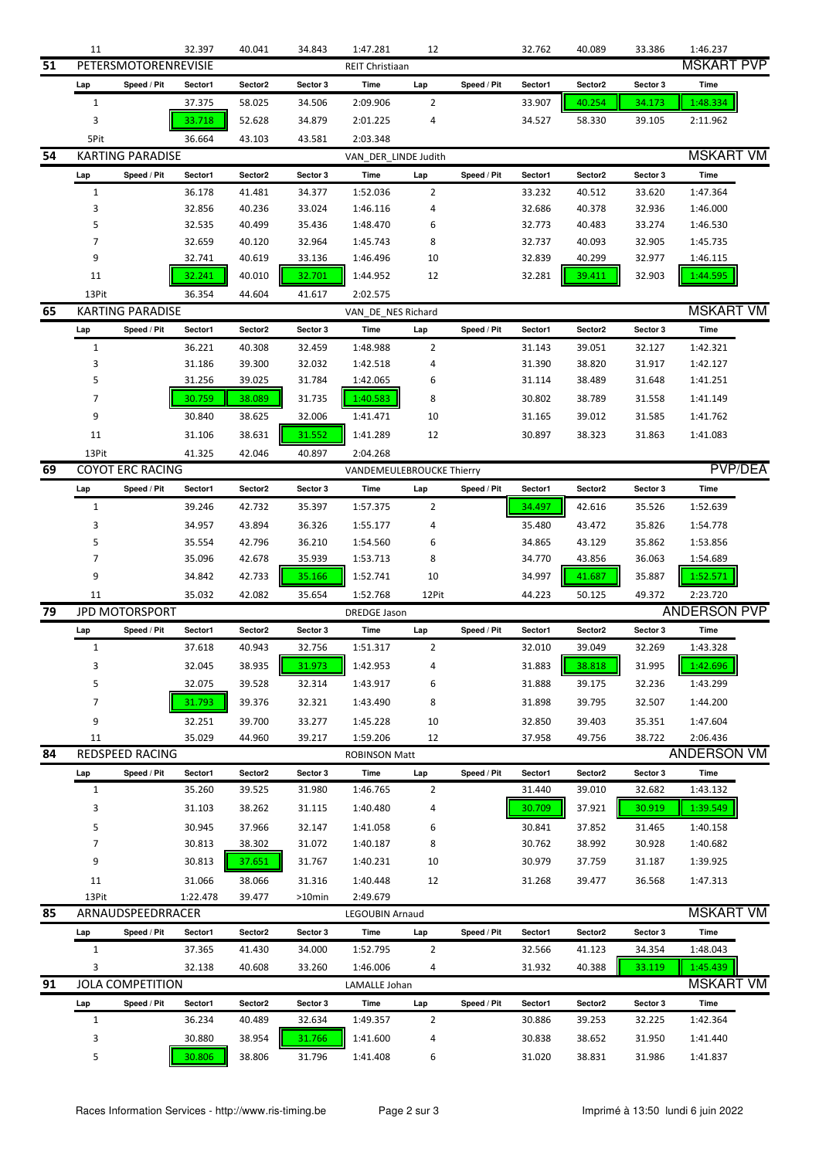|    | 11             |                         | 32.397   | 40.041  | 34.843   | 1:47.281                  | 12             |             | 32.762           | 40.089  | 33.386   | 1:46.237            |  |  |
|----|----------------|-------------------------|----------|---------|----------|---------------------------|----------------|-------------|------------------|---------|----------|---------------------|--|--|
| 51 |                | PETERSMOTORENREVISIE    |          |         |          | REIT Christiaan           |                |             |                  |         |          | <b>MSKART PVP</b>   |  |  |
|    | Lap            | Speed / Pit             | Sector1  | Sector2 | Sector 3 | Time                      | Lap            | Speed / Pit | Sector1          | Sector2 | Sector 3 | Time                |  |  |
|    | 1              |                         | 37.375   | 58.025  | 34.506   | 2:09.906                  | 2              |             | 33.907           | 40.254  | 34.173   | 1:48.334            |  |  |
|    | 3              |                         | 33.718   | 52.628  | 34.879   | 2:01.225                  | 4              |             | 34.527           | 58.330  | 39.105   | 2:11.962            |  |  |
|    | 5Pit           |                         | 36.664   | 43.103  |          | 2:03.348                  |                |             |                  |         |          |                     |  |  |
| 54 |                | <b>KARTING PARADISE</b> |          |         | 43.581   |                           |                |             |                  |         |          | <b>MSKART VM</b>    |  |  |
|    |                |                         |          |         |          | VAN_DER_LINDE Judith      |                |             |                  |         |          |                     |  |  |
|    | Lap            | Speed / Pit             | Sector1  | Sector2 | Sector 3 | Time                      | Lap            | Speed / Pit | Sector1          | Sector2 | Sector 3 | Time                |  |  |
|    | 1              |                         | 36.178   | 41.481  | 34.377   | 1:52.036                  | 2              |             | 33.232           | 40.512  | 33.620   | 1:47.364            |  |  |
|    | 3              |                         | 32.856   | 40.236  | 33.024   | 1:46.116                  | 4              |             | 32.686           | 40.378  | 32.936   | 1:46.000            |  |  |
|    | 5              |                         | 32.535   | 40.499  | 35.436   | 1:48.470                  | 6              |             | 32.773           | 40.483  | 33.274   | 1:46.530            |  |  |
|    | 7              |                         | 32.659   | 40.120  | 32.964   | 1:45.743                  | 8              |             | 32.737           | 40.093  | 32.905   | 1:45.735            |  |  |
|    | 9              |                         | 32.741   | 40.619  | 33.136   | 1:46.496                  | 10             |             | 32.839           | 40.299  | 32.977   | 1:46.115            |  |  |
|    | 11             |                         | 32.241   | 40.010  | 32.701   | 1:44.952                  | 12             |             | 32.281           | 39.411  | 32.903   | 1:44.595            |  |  |
|    | 13Pit          |                         | 36.354   | 44.604  | 41.617   | 2:02.575                  |                |             |                  |         |          |                     |  |  |
| 65 |                | <b>KARTING PARADISE</b> |          |         |          | VAN_DE_NES Richard        |                |             | <b>MSKART VM</b> |         |          |                     |  |  |
|    | Lap            | Speed / Pit             | Sector1  | Sector2 | Sector 3 | Time                      | Lap            | Speed / Pit | Sector1          | Sector2 | Sector 3 | Time                |  |  |
|    | $\mathbf{1}$   |                         | 36.221   | 40.308  | 32.459   | 1:48.988                  | 2              |             | 31.143           | 39.051  | 32.127   | 1:42.321            |  |  |
|    | 3              |                         | 31.186   | 39.300  | 32.032   | 1:42.518                  | 4              |             | 31.390           | 38.820  | 31.917   | 1:42.127            |  |  |
|    | 5              |                         | 31.256   | 39.025  | 31.784   | 1:42.065                  | 6              |             | 31.114           | 38.489  | 31.648   | 1:41.251            |  |  |
|    | 7              |                         | 30.759   | 38.089  | 31.735   | 1:40.583                  | 8              |             | 30.802           | 38.789  | 31.558   | 1:41.149            |  |  |
|    | 9              |                         | 30.840   | 38.625  | 32.006   | 1:41.471                  | 10             |             | 31.165           | 39.012  | 31.585   | 1:41.762            |  |  |
|    |                |                         |          |         |          |                           |                |             |                  |         |          |                     |  |  |
|    | 11             |                         | 31.106   | 38.631  | 31.552   | 1:41.289                  | 12             |             | 30.897           | 38.323  | 31.863   | 1:41.083            |  |  |
|    | 13Pit          |                         | 41.325   | 42.046  | 40.897   | 2:04.268                  |                |             |                  |         |          |                     |  |  |
| 69 |                | <b>COYOT ERC RACING</b> |          |         |          | VANDEMEULEBROUCKE Thierry |                |             |                  |         |          | <b>PVP/DEA</b>      |  |  |
|    | Lap            | Speed / Pit             | Sector1  | Sector2 | Sector 3 | Time                      | Lap            | Speed / Pit | Sector1          | Sector2 | Sector 3 | Time                |  |  |
|    | 1              |                         | 39.246   | 42.732  | 35.397   | 1:57.375                  | 2              |             | 34.497           | 42.616  | 35.526   | 1:52.639            |  |  |
|    | 3              |                         | 34.957   | 43.894  | 36.326   | 1:55.177                  | 4              |             | 35.480           | 43.472  | 35.826   | 1:54.778            |  |  |
|    | 5              |                         | 35.554   | 42.796  | 36.210   | 1:54.560                  | 6              |             | 34.865           | 43.129  | 35.862   | 1:53.856            |  |  |
|    | 7              |                         | 35.096   | 42.678  | 35.939   | 1:53.713                  | 8              |             | 34.770           | 43.856  | 36.063   | 1:54.689            |  |  |
|    | 9              |                         | 34.842   | 42.733  | 35.166   | 1:52.741                  | 10             |             | 34.997           | 41.687  | 35.887   | 1:52.571            |  |  |
|    | 11             |                         | 35.032   | 42.082  | 35.654   | 1:52.768                  | 12Pit          |             | 44.223           | 50.125  | 49.372   | 2:23.720            |  |  |
| 79 |                | JPD MOTORSPORT          |          |         |          | <b>DREDGE Jason</b>       |                |             |                  |         |          | <b>ANDERSON PVP</b> |  |  |
|    | Lap            | Speed / Pit             | Sector1  | Sector2 | Sector 3 | Time                      | Lap            | Speed / Pit | Sector1          | Sector2 | Sector 3 | Time                |  |  |
|    | 1              |                         | 37.618   | 40.943  | 32.756   | 1:51.317                  | 2              |             | 32.010           | 39.049  | 32.269   | 1:43.328            |  |  |
|    | 3              |                         | 32.045   | 38.935  | 31.973   | 1:42.953                  | 4              |             | 31.883           | 38.818  | 31.995   | г<br>1:42.696       |  |  |
|    |                |                         |          |         |          |                           |                |             |                  |         |          |                     |  |  |
|    | 5              |                         | 32.075   | 39.528  | 32.314   | 1:43.917                  | 6              |             | 31.888           | 39.175  | 32.236   | 1:43.299            |  |  |
|    | 7              |                         | 31.793   | 39.376  | 32.321   | 1:43.490                  | 8              |             | 31.898           | 39.795  | 32.507   | 1:44.200            |  |  |
|    | 9              |                         | 32.251   | 39.700  | 33.277   | 1:45.228                  | 10             |             | 32.850           | 39.403  | 35.351   | 1:47.604            |  |  |
|    | 11             |                         | 35.029   | 44.960  | 39.217   | 1:59.206                  | 12             |             | 37.958           | 49.756  | 38.722   | 2:06.436            |  |  |
| 84 |                | REDSPEED RACING         |          |         |          | <b>ROBINSON Matt</b>      |                |             |                  |         |          | ANDERSON VM         |  |  |
|    | Lap            | Speed / Pit             | Sector1  | Sector2 | Sector 3 | Time                      | Lap            | Speed / Pit | Sector1          | Sector2 | Sector 3 | Time                |  |  |
|    | $\mathbf{1}$   |                         | 35.260   | 39.525  | 31.980   | 1:46.765                  | $\overline{2}$ |             | 31.440           | 39.010  | 32.682   | 1:43.132            |  |  |
|    | 3              |                         | 31.103   | 38.262  | 31.115   | 1:40.480                  | 4              |             | 30.709           | 37.921  | 30.919   | 1:39.549            |  |  |
|    | 5              |                         | 30.945   | 37.966  | 32.147   | 1:41.058                  | 6              |             | 30.841           | 37.852  | 31.465   | 1:40.158            |  |  |
|    | $\overline{7}$ |                         | 30.813   | 38.302  | 31.072   | 1:40.187                  | 8              |             | 30.762           | 38.992  | 30.928   | 1:40.682            |  |  |
|    | 9              |                         | 30.813   | 37.651  | 31.767   | 1:40.231                  | 10             |             | 30.979           | 37.759  | 31.187   | 1:39.925            |  |  |
|    | 11             |                         | 31.066   | 38.066  | 31.316   | 1:40.448                  | 12             |             | 31.268           | 39.477  | 36.568   | 1:47.313            |  |  |
|    | 13Pit          |                         | 1:22.478 | 39.477  | >10min   | 2:49.679                  |                |             |                  |         |          |                     |  |  |
| 85 |                | ARNAUDSPEEDRRACER       |          |         |          |                           |                |             |                  |         |          | <b>MSKART VM</b>    |  |  |
|    |                |                         |          |         |          | <b>LEGOUBIN Arnaud</b>    |                |             |                  |         |          |                     |  |  |
|    | Lap            | Speed / Pit             | Sector1  | Sector2 | Sector 3 | Time                      | Lap            | Speed / Pit | Sector1          | Sector2 | Sector 3 | Time                |  |  |
|    | 1              |                         | 37.365   | 41.430  | 34.000   | 1:52.795                  | 2              |             | 32.566           | 41.123  | 34.354   | 1:48.043            |  |  |
|    | 3              |                         | 32.138   | 40.608  | 33.260   | 1:46.006                  | 4              |             | 31.932           | 40.388  | 33.119   | 1:45.439            |  |  |
| 91 |                | <b>JOLA COMPETITION</b> |          |         |          | LAMALLE Johan             |                |             |                  |         |          | <b>MSKART VM</b>    |  |  |
|    | Lap            | Speed / Pit             | Sector1  | Sector2 | Sector 3 | Time                      | Lap            | Speed / Pit | Sector1          | Sector2 | Sector 3 | Time                |  |  |
|    | $\mathbf{1}$   |                         | 36.234   | 40.489  | 32.634   | 1:49.357                  | 2              |             | 30.886           | 39.253  | 32.225   | 1:42.364            |  |  |
|    | 3              |                         | 30.880   | 38.954  | 31.766   | 1:41.600                  | 4              |             | 30.838           | 38.652  | 31.950   | 1:41.440            |  |  |
|    | 5              |                         | 30.806   | 38.806  | 31.796   | 1:41.408                  | 6              |             | 31.020           | 38.831  | 31.986   | 1:41.837            |  |  |